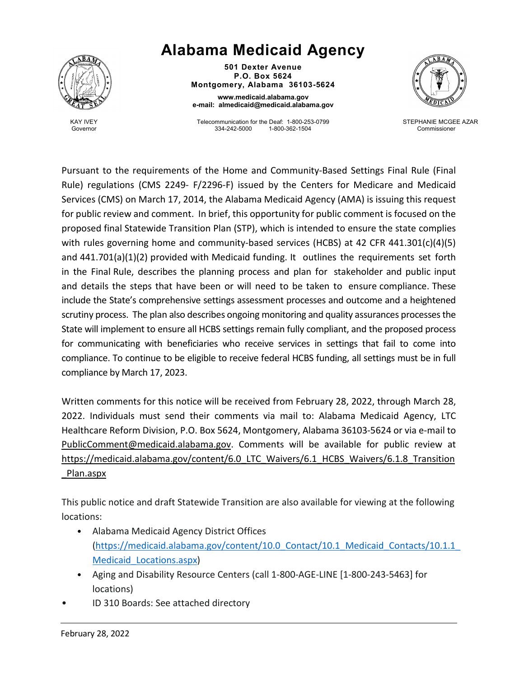

KAY IVEY Governor

## **Alabama Medicaid Agency**

**501 Dexter Avenue P.O. Box 5624 Montgomery, Alabama 36103-5624**

**www.medicaid.alabama.gov e-mail: almedicaid@medicaid.alabama.gov**

Telecommunication for the Deaf: 1-800-253-0799 1-800-362-1504



 STEPHANIE MCGEE AZAR Commissioner

Pursuant to the requirements of the Home and Community-Based Settings Final Rule (Final Rule) regulations (CMS 2249- F/2296-F) issued by the Centers for Medicare and Medicaid Services (CMS) on March 17, 2014, the Alabama Medicaid Agency (AMA) is issuing this request for public review and comment. In brief, this opportunity for public comment is focused on the proposed final Statewide Transition Plan (STP), which is intended to ensure the state complies with rules governing home and community-based services (HCBS) at 42 CFR 441.301(c)(4)(5) and 441.701(a)(1)(2) provided with Medicaid funding. It outlines the requirements set forth in the Final Rule, describes the planning process and plan for stakeholder and public input and details the steps that have been or will need to be taken to ensure compliance. These include the State's comprehensive settings assessment processes and outcome and a heightened scrutiny process. The plan also describes ongoing monitoring and quality assurances processes the State will implement to ensure all HCBS settings remain fully compliant, and the proposed process for communicating with beneficiaries who receive services in settings that fail to come into compliance. To continue to be eligible to receive federal HCBS funding, all settings must be in full compliance by March 17, 2023.

Written comments for this notice will be received from February 28, 2022, through March 28, 2022. Individuals must send their comments via mail to: Alabama Medicaid Agency, LTC Healthcare Reform Division, P.O. Box 5624, Montgomery, Alabama 36103-5624 or via e-mail to [PublicComment@medicaid.alabama.gov.](mailto:PublicComment@medicaid.alabama.gov) Comments will be available for public review at [https://medicaid.alabama.gov/content/6.0\\_LTC\\_Waivers/6.1\\_HCBS\\_Waivers/6.1.8\\_Transition](https://medicaid.alabama.gov/content/6.0_LTC_Waivers/6.1_HCBS_Waivers/6.1.8_Transition_Plan.aspx) [\\_Plan.aspx](https://medicaid.alabama.gov/content/6.0_LTC_Waivers/6.1_HCBS_Waivers/6.1.8_Transition_Plan.aspx)

This public notice and draft Statewide Transition are also available for viewing at the following locations:

- Alabama Medicaid Agency District Offices [\(https://medicaid.alabama.gov/content/10.0\\_Contact/10.1\\_Medicaid\\_Contacts/10.1.1\\_](https://medicaid.alabama.gov/content/10.0_Contact/10.1_Medicaid_Contacts/10.1.1_Medicaid_Locations.aspx) [Medicaid\\_Locations.aspx\)](https://medicaid.alabama.gov/content/10.0_Contact/10.1_Medicaid_Contacts/10.1.1_Medicaid_Locations.aspx)
- Aging and Disability Resource Centers (call 1-800-AGE-LINE [1-800-243-5463] for locations)
- ID 310 Boards: See attached directory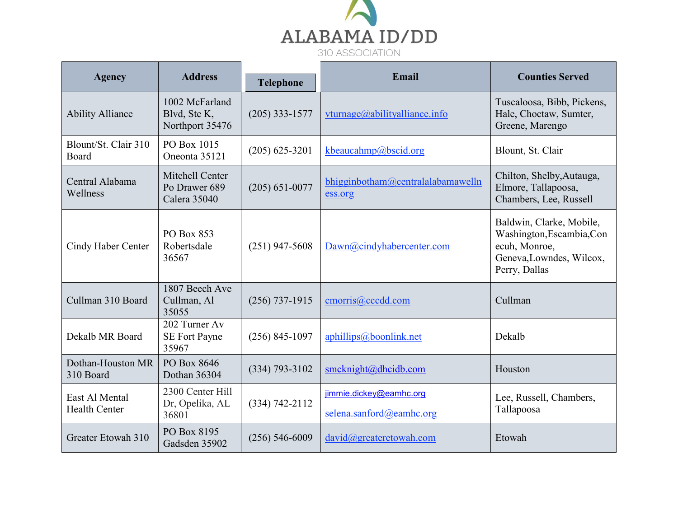

| <b>Agency</b>                          | <b>Address</b>                                    | <b>Telephone</b>   | Email                                               | <b>Counties Served</b>                                                                                              |
|----------------------------------------|---------------------------------------------------|--------------------|-----------------------------------------------------|---------------------------------------------------------------------------------------------------------------------|
| <b>Ability Alliance</b>                | 1002 McFarland<br>Blvd, Ste K,<br>Northport 35476 | $(205)$ 333-1577   | vturnage@abilityalliance.info                       | Tuscaloosa, Bibb, Pickens,<br>Hale, Choctaw, Sumter,<br>Greene, Marengo                                             |
| Blount/St. Clair 310<br>Board          | PO Box 1015<br>Oneonta 35121                      | $(205)$ 625-3201   | kbeaucahmp@bscid.org                                | Blount, St. Clair                                                                                                   |
| Central Alabama<br>Wellness            | Mitchell Center<br>Po Drawer 689<br>Calera 35040  | $(205) 651 - 0077$ | bhigginbotham@centralalabamawelln<br>ess.org        | Chilton, Shelby, Autauga,<br>Elmore, Tallapoosa,<br>Chambers, Lee, Russell                                          |
| Cindy Haber Center                     | PO Box 853<br>Robertsdale<br>36567                | $(251)$ 947-5608   | Dawn@cindyhabercenter.com                           | Baldwin, Clarke, Mobile,<br>Washington, Escambia, Con<br>ecuh, Monroe,<br>Geneva, Lowndes, Wilcox,<br>Perry, Dallas |
| Cullman 310 Board                      | 1807 Beech Ave<br>Cullman, Al<br>35055            | $(256)$ 737-1915   | cmorris@cccdd.com                                   | Cullman                                                                                                             |
| Dekalb MR Board                        | 202 Turner Av<br><b>SE Fort Payne</b><br>35967    | $(256) 845 - 1097$ | aphillips@boonlink.net                              | Dekalb                                                                                                              |
| Dothan-Houston MR<br>310 Board         | PO Box 8646<br>Dothan 36304                       | $(334) 793 - 3102$ | smcknight@dhcidb.com                                | Houston                                                                                                             |
| East Al Mental<br><b>Health Center</b> | 2300 Center Hill<br>Dr, Opelika, AL<br>36801      | $(334) 742 - 2112$ | jimmie.dickey@eamhc.org<br>selena.sanford@eamhc.org | Lee, Russell, Chambers,<br>Tallapoosa                                                                               |
| Greater Etowah 310                     | PO Box 8195<br>Gadsden 35902                      | $(256) 546 - 6009$ | david@greateretowah.com                             | Etowah                                                                                                              |